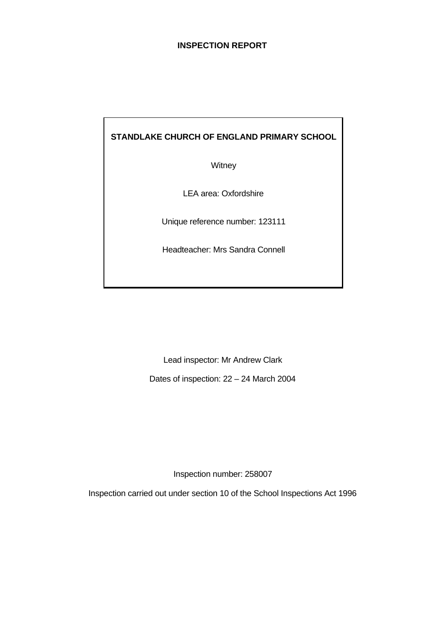# **INSPECTION REPORT**

# **STANDLAKE CHURCH OF ENGLAND PRIMARY SCHOOL**

**Witney** 

LEA area: Oxfordshire

Unique reference number: 123111

Headteacher: Mrs Sandra Connell

Lead inspector: Mr Andrew Clark

Dates of inspection: 22 – 24 March 2004

Inspection number: 258007

Inspection carried out under section 10 of the School Inspections Act 1996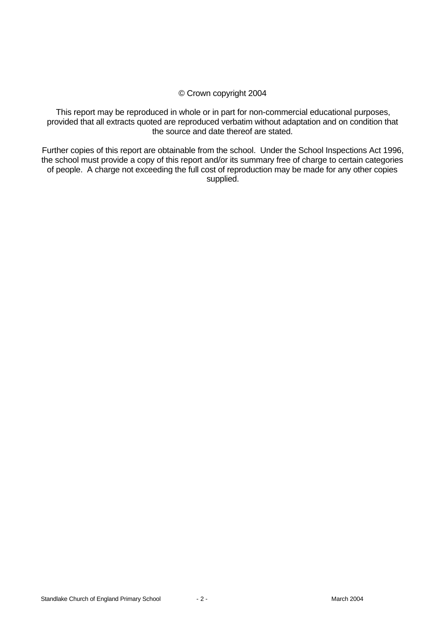### © Crown copyright 2004

This report may be reproduced in whole or in part for non-commercial educational purposes, provided that all extracts quoted are reproduced verbatim without adaptation and on condition that the source and date thereof are stated.

Further copies of this report are obtainable from the school. Under the School Inspections Act 1996, the school must provide a copy of this report and/or its summary free of charge to certain categories of people. A charge not exceeding the full cost of reproduction may be made for any other copies supplied.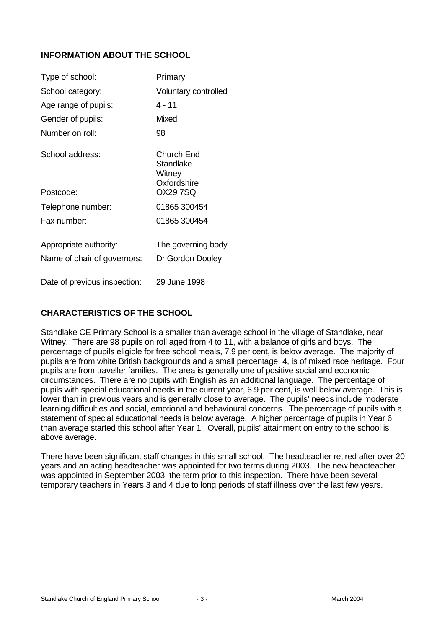# **INFORMATION ABOUT THE SCHOOL**

| Type of school:              | Primary                                          |
|------------------------------|--------------------------------------------------|
| School category:             | Voluntary controlled                             |
| Age range of pupils:         | 4 - 11                                           |
| Gender of pupils:            | Mixed                                            |
| Number on roll:              | 98                                               |
| School address:              | Church End<br>Standlake<br>Witney<br>Oxfordshire |
| Postcode:                    | OX29 7SQ                                         |
| Telephone number:            | 01865 300454                                     |
| Fax number:                  | 01865 300454                                     |
| Appropriate authority:       | The governing body                               |
| Name of chair of governors:  | Dr Gordon Dooley                                 |
| Date of previous inspection: | 29 June 1998                                     |

# **CHARACTERISTICS OF THE SCHOOL**

Standlake CE Primary School is a smaller than average school in the village of Standlake, near Witney. There are 98 pupils on roll aged from 4 to 11, with a balance of girls and boys. The percentage of pupils eligible for free school meals, 7.9 per cent, is below average. The majority of pupils are from white British backgrounds and a small percentage, 4, is of mixed race heritage. Four pupils are from traveller families. The area is generally one of positive social and economic circumstances. There are no pupils with English as an additional language. The percentage of pupils with special educational needs in the current year, 6.9 per cent, is well below average. This is lower than in previous years and is generally close to average. The pupils' needs include moderate learning difficulties and social, emotional and behavioural concerns. The percentage of pupils with a statement of special educational needs is below average. A higher percentage of pupils in Year 6 than average started this school after Year 1. Overall, pupils' attainment on entry to the school is above average.

There have been significant staff changes in this small school. The headteacher retired after over 20 years and an acting headteacher was appointed for two terms during 2003. The new headteacher was appointed in September 2003, the term prior to this inspection. There have been several temporary teachers in Years 3 and 4 due to long periods of staff illness over the last few years.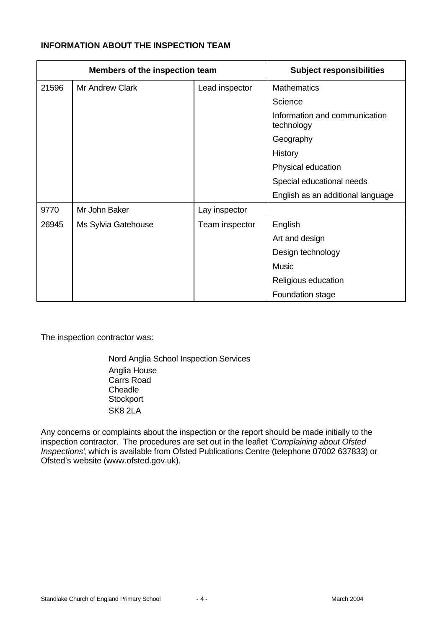# **INFORMATION ABOUT THE INSPECTION TEAM**

| Members of the inspection team |                        |                | <b>Subject responsibilities</b>             |
|--------------------------------|------------------------|----------------|---------------------------------------------|
| 21596                          | <b>Mr Andrew Clark</b> | Lead inspector | <b>Mathematics</b>                          |
|                                |                        |                | Science                                     |
|                                |                        |                | Information and communication<br>technology |
|                                |                        |                | Geography                                   |
|                                |                        |                | History                                     |
|                                |                        |                | Physical education                          |
|                                |                        |                | Special educational needs                   |
|                                |                        |                | English as an additional language           |
| 9770                           | Mr John Baker          | Lay inspector  |                                             |
| 26945                          | Ms Sylvia Gatehouse    | Team inspector | English                                     |
|                                |                        |                | Art and design                              |
|                                |                        |                | Design technology                           |
|                                |                        |                | <b>Music</b>                                |
|                                |                        |                | Religious education                         |
|                                |                        |                | Foundation stage                            |

The inspection contractor was:

Nord Anglia School Inspection Services Anglia House Carrs Road **Cheadle Stockport** SK8 2LA

Any concerns or complaints about the inspection or the report should be made initially to the inspection contractor. The procedures are set out in the leaflet *'Complaining about Ofsted Inspections'*, which is available from Ofsted Publications Centre (telephone 07002 637833) or Ofsted's website (www.ofsted.gov.uk).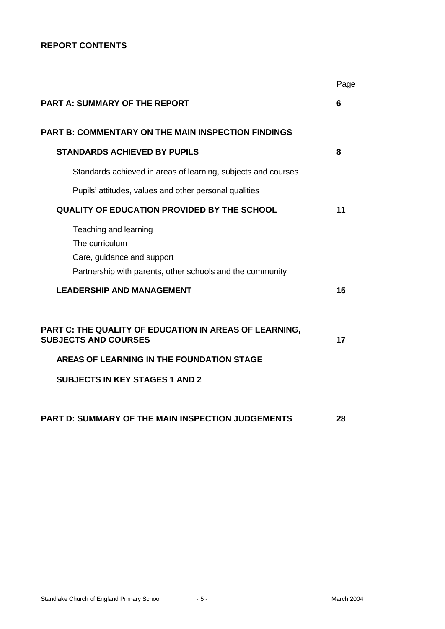# **REPORT CONTENTS**

|                                                                                                                                    | Page |
|------------------------------------------------------------------------------------------------------------------------------------|------|
| <b>PART A: SUMMARY OF THE REPORT</b>                                                                                               | 6    |
| <b>PART B: COMMENTARY ON THE MAIN INSPECTION FINDINGS</b>                                                                          |      |
| <b>STANDARDS ACHIEVED BY PUPILS</b>                                                                                                | 8    |
| Standards achieved in areas of learning, subjects and courses                                                                      |      |
| Pupils' attitudes, values and other personal qualities                                                                             |      |
| <b>QUALITY OF EDUCATION PROVIDED BY THE SCHOOL</b>                                                                                 | 11   |
| Teaching and learning<br>The curriculum<br>Care, guidance and support<br>Partnership with parents, other schools and the community |      |
| <b>LEADERSHIP AND MANAGEMENT</b>                                                                                                   | 15   |
| PART C: THE QUALITY OF EDUCATION IN AREAS OF LEARNING,<br><b>SUBJECTS AND COURSES</b>                                              | 17   |
| AREAS OF LEARNING IN THE FOUNDATION STAGE                                                                                          |      |
| <b>SUBJECTS IN KEY STAGES 1 AND 2</b>                                                                                              |      |
| PART D: SUMMARY OF THE MAIN INSPECTION JUDGEMENTS                                                                                  | 28   |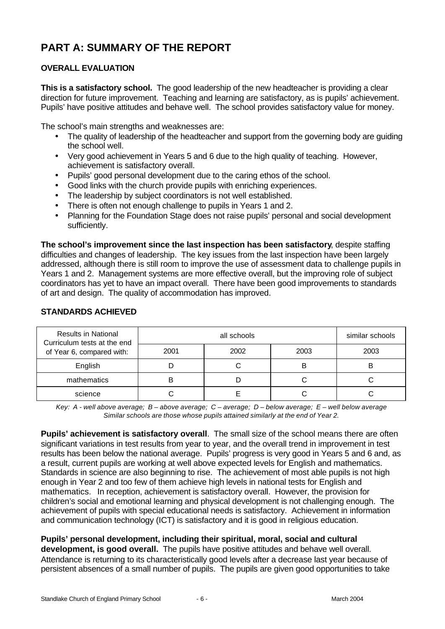# **PART A: SUMMARY OF THE REPORT**

# **OVERALL EVALUATION**

**This is a satisfactory school.** The good leadership of the new headteacher is providing a clear direction for future improvement. Teaching and learning are satisfactory, as is pupils' achievement. Pupils' have positive attitudes and behave well. The school provides satisfactory value for money.

The school's main strengths and weaknesses are:

- The quality of leadership of the headteacher and support from the governing body are quiding the school well.
- Very good achievement in Years 5 and 6 due to the high quality of teaching. However, achievement is satisfactory overall.
- Pupils' good personal development due to the caring ethos of the school.
- Good links with the church provide pupils with enriching experiences.
- The leadership by subject coordinators is not well established.
- There is often not enough challenge to pupils in Years 1 and 2.
- Planning for the Foundation Stage does not raise pupils' personal and social development sufficiently.

**The school's improvement since the last inspection has been satisfactory**, despite staffing difficulties and changes of leadership. The key issues from the last inspection have been largely addressed, although there is still room to improve the use of assessment data to challenge pupils in Years 1 and 2. Management systems are more effective overall, but the improving role of subject coordinators has yet to have an impact overall. There have been good improvements to standards of art and design. The quality of accommodation has improved.

| <b>Results in National</b><br>Curriculum tests at the end |      | similar schools |      |      |
|-----------------------------------------------------------|------|-----------------|------|------|
| of Year 6, compared with:                                 | 2001 | 2002            | 2003 | 2003 |
| English                                                   |      |                 | в    |      |
| mathematics                                               |      |                 |      |      |
| science                                                   |      |                 |      |      |

# **STANDARDS ACHIEVED**

*Key: A - well above average; B – above average; C – average; D – below average; E – well below average Similar schools are those whose pupils attained similarly at the end of Year 2.*

**Pupils' achievement is satisfactory overall**. The small size of the school means there are often significant variations in test results from year to year, and the overall trend in improvement in test results has been below the national average. Pupils' progress is very good in Years 5 and 6 and, as a result, current pupils are working at well above expected levels for English and mathematics. Standards in science are also beginning to rise. The achievement of most able pupils is not high enough in Year 2 and too few of them achieve high levels in national tests for English and mathematics.In reception, achievement is satisfactory overall. However, the provision for children's social and emotional learning and physical development is not challenging enough. The achievement of pupils with special educational needs is satisfactory. Achievement in information and communication technology (ICT) is satisfactory and it is good in religious education.

**Pupils' personal development, including their spiritual, moral, social and cultural development, is good overall.** The pupils have positive attitudes and behave well overall. Attendance is returning to its characteristically good levels after a decrease last year because of persistent absences of a small number of pupils. The pupils are given good opportunities to take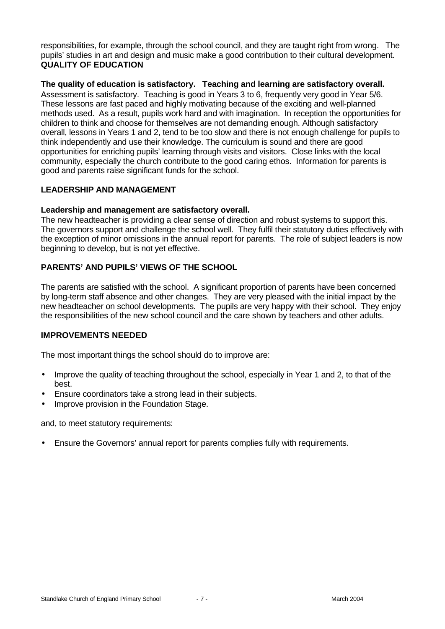responsibilities, for example, through the school council, and they are taught right from wrong. The pupils' studies in art and design and music make a good contribution to their cultural development. **QUALITY OF EDUCATION**

### **The quality of education is satisfactory. Teaching and learning are satisfactory overall.**

Assessment is satisfactory. Teaching is good in Years 3 to 6, frequently very good in Year 5/6. These lessons are fast paced and highly motivating because of the exciting and well-planned methods used. As a result, pupils work hard and with imagination. In reception the opportunities for children to think and choose for themselves are not demanding enough. Although satisfactory overall, lessons in Years 1 and 2, tend to be too slow and there is not enough challenge for pupils to think independently and use their knowledge. The curriculum is sound and there are good opportunities for enriching pupils' learning through visits and visitors. Close links with the local community, especially the church contribute to the good caring ethos. Information for parents is good and parents raise significant funds for the school.

#### **LEADERSHIP AND MANAGEMENT**

#### **Leadership and management are satisfactory overall.**

The new headteacher is providing a clear sense of direction and robust systems to support this. The governors support and challenge the school well. They fulfil their statutory duties effectively with the exception of minor omissions in the annual report for parents. The role of subject leaders is now beginning to develop, but is not yet effective.

# **PARENTS' AND PUPILS' VIEWS OF THE SCHOOL**

The parents are satisfied with the school. A significant proportion of parents have been concerned by long-term staff absence and other changes. They are very pleased with the initial impact by the new headteacher on school developments. The pupils are very happy with their school. They enjoy the responsibilities of the new school council and the care shown by teachers and other adults.

#### **IMPROVEMENTS NEEDED**

The most important things the school should do to improve are:

- Improve the quality of teaching throughout the school, especially in Year 1 and 2, to that of the best.
- Ensure coordinators take a strong lead in their subjects.
- Improve provision in the Foundation Stage.

and, to meet statutory requirements:

• Ensure the Governors' annual report for parents complies fully with requirements.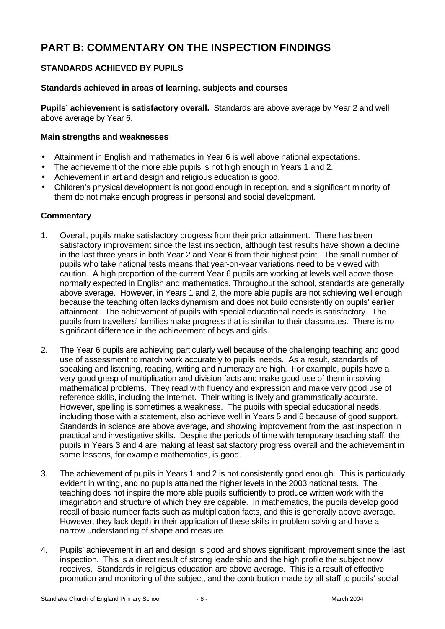# **PART B: COMMENTARY ON THE INSPECTION FINDINGS**

# **STANDARDS ACHIEVED BY PUPILS**

# **Standards achieved in areas of learning, subjects and courses**

**Pupils' achievement is satisfactory overall.** Standards are above average by Year 2 and well above average by Year 6.

#### **Main strengths and weaknesses**

- Attainment in English and mathematics in Year 6 is well above national expectations.
- The achievement of the more able pupils is not high enough in Years 1 and 2.
- Achievement in art and design and religious education is good.
- Children's physical development is not good enough in reception, and a significant minority of them do not make enough progress in personal and social development.

### **Commentary**

- 1. Overall, pupils make satisfactory progress from their prior attainment. There has been satisfactory improvement since the last inspection, although test results have shown a decline in the last three years in both Year 2 and Year 6 from their highest point. The small number of pupils who take national tests means that year-on-year variations need to be viewed with caution. A high proportion of the current Year 6 pupils are working at levels well above those normally expected in English and mathematics. Throughout the school, standards are generally above average. However, in Years 1 and 2, the more able pupils are not achieving well enough because the teaching often lacks dynamism and does not build consistently on pupils' earlier attainment. The achievement of pupils with special educational needs is satisfactory. The pupils from travellers' families make progress that is similar to their classmates. There is no significant difference in the achievement of boys and girls.
- 2. The Year 6 pupils are achieving particularly well because of the challenging teaching and good use of assessment to match work accurately to pupils' needs. As a result, standards of speaking and listening, reading, writing and numeracy are high. For example, pupils have a very good grasp of multiplication and division facts and make good use of them in solving mathematical problems. They read with fluency and expression and make very good use of reference skills, including the Internet. Their writing is lively and grammatically accurate. However, spelling is sometimes a weakness. The pupils with special educational needs, including those with a statement, also achieve well in Years 5 and 6 because of good support. Standards in science are above average, and showing improvement from the last inspection in practical and investigative skills. Despite the periods of time with temporary teaching staff, the pupils in Years 3 and 4 are making at least satisfactory progress overall and the achievement in some lessons, for example mathematics, is good.
- 3. The achievement of pupils in Years 1 and 2 is not consistently good enough. This is particularly evident in writing, and no pupils attained the higher levels in the 2003 national tests. The teaching does not inspire the more able pupils sufficiently to produce written work with the imagination and structure of which they are capable. In mathematics, the pupils develop good recall of basic number facts such as multiplication facts, and this is generally above average. However, they lack depth in their application of these skills in problem solving and have a narrow understanding of shape and measure.
- 4. Pupils' achievement in art and design is good and shows significant improvement since the last inspection. This is a direct result of strong leadership and the high profile the subject now receives. Standards in religious education are above average. This is a result of effective promotion and monitoring of the subject, and the contribution made by all staff to pupils' social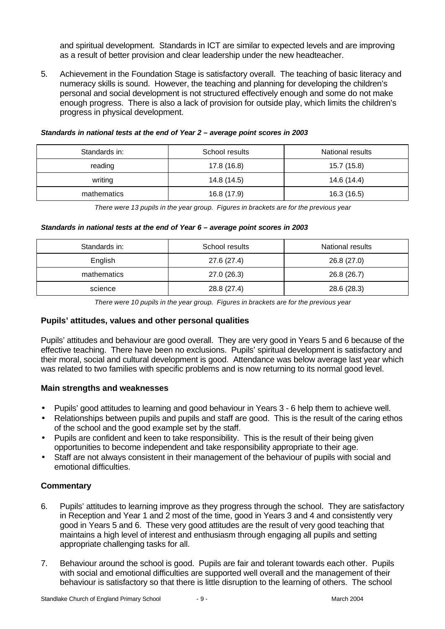and spiritual development. Standards in ICT are similar to expected levels and are improving as a result of better provision and clear leadership under the new headteacher.

5. Achievement in the Foundation Stage is satisfactory overall. The teaching of basic literacy and numeracy skills is sound. However, the teaching and planning for developing the children's personal and social development is not structured effectively enough and some do not make enough progress. There is also a lack of provision for outside play, which limits the children's progress in physical development.

| Standards in: | School results | National results |
|---------------|----------------|------------------|
| reading       | 17.8 (16.8)    | 15.7 (15.8)      |
| writing       | 14.8 (14.5)    | 14.6 (14.4)      |
| mathematics   | 16.8 (17.9)    | 16.3 (16.5)      |

#### *Standards in national tests at the end of Year 2 – average point scores in 2003*

*There were 13 pupils in the year group. Figures in brackets are for the previous year*

#### *Standards in national tests at the end of Year 6 – average point scores in 2003*

| Standards in: | School results | National results |
|---------------|----------------|------------------|
| English       | 27.6 (27.4)    | 26.8 (27.0)      |
| mathematics   | 27.0(26.3)     | 26.8 (26.7)      |
| science       | 28.8 (27.4)    | 28.6 (28.3)      |

*There were 10 pupils in the year group. Figures in brackets are for the previous year*

#### **Pupils' attitudes, values and other personal qualities**

Pupils' attitudes and behaviour are good overall. They are very good in Years 5 and 6 because of the effective teaching. There have been no exclusions. Pupils' spiritual development is satisfactory and their moral, social and cultural development is good. Attendance was below average last year which was related to two families with specific problems and is now returning to its normal good level.

#### **Main strengths and weaknesses**

- Pupils' good attitudes to learning and good behaviour in Years 3 6 help them to achieve well.
- Relationships between pupils and pupils and staff are good. This is the result of the caring ethos of the school and the good example set by the staff.
- Pupils are confident and keen to take responsibility. This is the result of their being given opportunities to become independent and take responsibility appropriate to their age.
- Staff are not always consistent in their management of the behaviour of pupils with social and emotional difficulties.

#### **Commentary**

- 6. Pupils' attitudes to learning improve as they progress through the school. They are satisfactory in Reception and Year 1 and 2 most of the time, good in Years 3 and 4 and consistently very good in Years 5 and 6. These very good attitudes are the result of very good teaching that maintains a high level of interest and enthusiasm through engaging all pupils and setting appropriate challenging tasks for all.
- 7. Behaviour around the school is good. Pupils are fair and tolerant towards each other. Pupils with social and emotional difficulties are supported well overall and the management of their behaviour is satisfactory so that there is little disruption to the learning of others. The school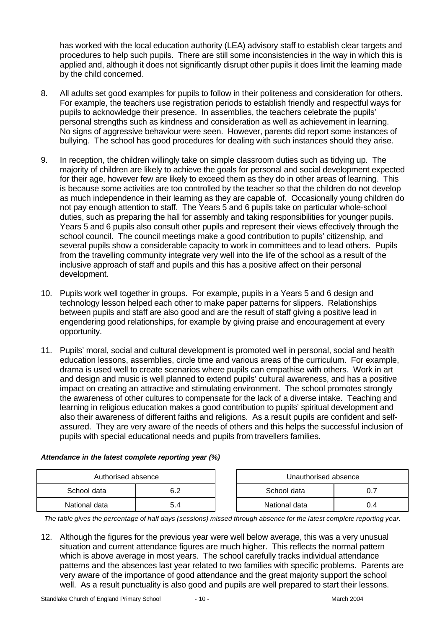has worked with the local education authority (LEA) advisory staff to establish clear targets and procedures to help such pupils. There are still some inconsistencies in the way in which this is applied and, although it does not significantly disrupt other pupils it does limit the learning made by the child concerned.

- 8. All adults set good examples for pupils to follow in their politeness and consideration for others. For example, the teachers use registration periods to establish friendly and respectful ways for pupils to acknowledge their presence. In assemblies, the teachers celebrate the pupils' personal strengths such as kindness and consideration as well as achievement in learning. No signs of aggressive behaviour were seen. However, parents did report some instances of bullying. The school has good procedures for dealing with such instances should they arise.
- 9. In reception, the children willingly take on simple classroom duties such as tidying up. The majority of children are likely to achieve the goals for personal and social development expected for their age, however few are likely to exceed them as they do in other areas of learning. This is because some activities are too controlled by the teacher so that the children do not develop as much independence in their learning as they are capable of. Occasionally young children do not pay enough attention to staff. The Years 5 and 6 pupils take on particular whole-school duties, such as preparing the hall for assembly and taking responsibilities for younger pupils. Years 5 and 6 pupils also consult other pupils and represent their views effectively through the school council. The council meetings make a good contribution to pupils' citizenship, and several pupils show a considerable capacity to work in committees and to lead others. Pupils from the travelling community integrate very well into the life of the school as a result of the inclusive approach of staff and pupils and this has a positive affect on their personal development.
- 10. Pupils work well together in groups. For example, pupils in a Years 5 and 6 design and technology lesson helped each other to make paper patterns for slippers. Relationships between pupils and staff are also good and are the result of staff giving a positive lead in engendering good relationships, for example by giving praise and encouragement at every opportunity.
- 11. Pupils' moral, social and cultural development is promoted well in personal, social and health education lessons, assemblies, circle time and various areas of the curriculum. For example, drama is used well to create scenarios where pupils can empathise with others. Work in art and design and music is well planned to extend pupils' cultural awareness, and has a positive impact on creating an attractive and stimulating environment. The school promotes strongly the awareness of other cultures to compensate for the lack of a diverse intake. Teaching and learning in religious education makes a good contribution to pupils' spiritual development and also their awareness of different faiths and religions. As a result pupils are confident and selfassured. They are very aware of the needs of others and this helps the successful inclusion of pupils with special educational needs and pupils from travellers families.

| Authorised absence |            |  | Unauthorised absence |  |
|--------------------|------------|--|----------------------|--|
| School data        | 6 2<br>◡.∠ |  | School data          |  |

National data 1 5.4

| Attendance in the latest complete reporting year (%) |  |  |
|------------------------------------------------------|--|--|
|                                                      |  |  |

| Authorised absence |     | Unauthorised absence |     |
|--------------------|-----|----------------------|-----|
| data               | 6.2 | School data          |     |
| data               | 5.4 | National data        | 0.4 |

*The table gives the percentage of half days (sessions) missed through absence for the latest complete reporting year.*

12. Although the figures for the previous year were well below average, this was a very unusual situation and current attendance figures are much higher. This reflects the normal pattern which is above average in most years. The school carefully tracks individual attendance patterns and the absences last year related to two families with specific problems. Parents are very aware of the importance of good attendance and the great majority support the school well. As a result punctuality is also good and pupils are well prepared to start their lessons.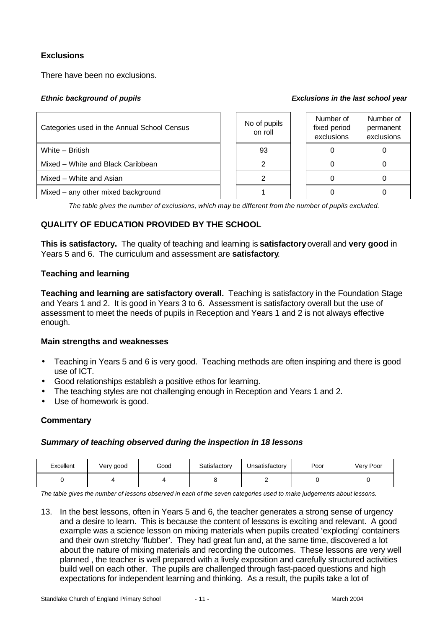# **Exclusions**

There have been no exclusions.

#### *Ethnic background of pupils Exclusions in the last school year*

| Categories used in the Annual School Census | No of pupils<br>on roll | Number of<br>fixed period<br>exclusions | Number of<br>permanent<br>exclusions |
|---------------------------------------------|-------------------------|-----------------------------------------|--------------------------------------|
| White - British                             | 93                      |                                         |                                      |
| Mixed – White and Black Caribbean           |                         |                                         |                                      |
| Mixed - White and Asian                     |                         |                                         |                                      |
| Mixed – any other mixed background          |                         |                                         |                                      |

*The table gives the number of exclusions, which may be different from the number of pupils excluded.*

# **QUALITY OF EDUCATION PROVIDED BY THE SCHOOL**

**This is satisfactory.** The quality of teaching and learning is **satisfactory** overall and **very good** in Years 5 and 6. The curriculum and assessment are **satisfactory**.

### **Teaching and learning**

**Teaching and learning are satisfactory overall.** Teaching is satisfactory in the Foundation Stage and Years 1 and 2. It is good in Years 3 to 6. Assessment is satisfactory overall but the use of assessment to meet the needs of pupils in Reception and Years 1 and 2 is not always effective enough.

#### **Main strengths and weaknesses**

- Teaching in Years 5 and 6 is very good. Teaching methods are often inspiring and there is good use of ICT.
- Good relationships establish a positive ethos for learning.
- The teaching styles are not challenging enough in Reception and Years 1 and 2.
- Use of homework is good.

# **Commentary**

# *Summary of teaching observed during the inspection in 18 lessons*

| Excellent | √ery good | Good | Satisfactory | Unsatisfactory | Poor | Very Poor |
|-----------|-----------|------|--------------|----------------|------|-----------|
|           |           |      |              |                |      |           |

*The table gives the number of lessons observed in each of the seven categories used to make judgements about lessons.*

13. In the best lessons, often in Years 5 and 6, the teacher generates a strong sense of urgency and a desire to learn. This is because the content of lessons is exciting and relevant. A good example was a science lesson on mixing materials when pupils created 'exploding' containers and their own stretchy 'flubber'. They had great fun and, at the same time, discovered a lot about the nature of mixing materials and recording the outcomes. These lessons are very well planned , the teacher is well prepared with a lively exposition and carefully structured activities build well on each other. The pupils are challenged through fast-paced questions and high expectations for independent learning and thinking. As a result, the pupils take a lot of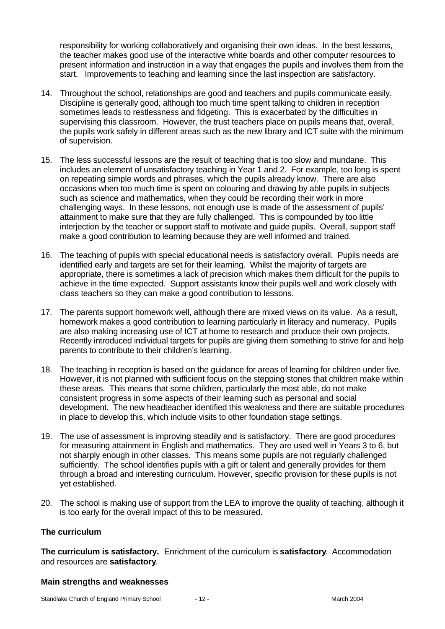responsibility for working collaboratively and organising their own ideas. In the best lessons, the teacher makes good use of the interactive white boards and other computer resources to present information and instruction in a way that engages the pupils and involves them from the start. Improvements to teaching and learning since the last inspection are satisfactory.

- 14. Throughout the school, relationships are good and teachers and pupils communicate easily. Discipline is generally good, although too much time spent talking to children in reception sometimes leads to restlessness and fidgeting. This is exacerbated by the difficulties in supervising this classroom. However, the trust teachers place on pupils means that, overall, the pupils work safely in different areas such as the new library and ICT suite with the minimum of supervision.
- 15. The less successful lessons are the result of teaching that is too slow and mundane. This includes an element of unsatisfactory teaching in Year 1 and 2. For example, too long is spent on repeating simple words and phrases, which the pupils already know. There are also occasions when too much time is spent on colouring and drawing by able pupils in subjects such as science and mathematics, when they could be recording their work in more challenging ways. In these lessons, not enough use is made of the assessment of pupils' attainment to make sure that they are fully challenged. This is compounded by too little interjection by the teacher or support staff to motivate and guide pupils. Overall, support staff make a good contribution to learning because they are well informed and trained.
- 16. The teaching of pupils with special educational needs is satisfactory overall. Pupils needs are identified early and targets are set for their learning. Whilst the majority of targets are appropriate, there is sometimes a lack of precision which makes them difficult for the pupils to achieve in the time expected. Support assistants know their pupils well and work closely with class teachers so they can make a good contribution to lessons.
- 17. The parents support homework well, although there are mixed views on its value. As a result, homework makes a good contribution to learning particularly in literacy and numeracy. Pupils are also making increasing use of ICT at home to research and produce their own projects. Recently introduced individual targets for pupils are giving them something to strive for and help parents to contribute to their children's learning.
- 18. The teaching in reception is based on the guidance for areas of learning for children under five. However, it is not planned with sufficient focus on the stepping stones that children make within these areas. This means that some children, particularly the most able, do not make consistent progress in some aspects of their learning such as personal and social development. The new headteacher identified this weakness and there are suitable procedures in place to develop this, which include visits to other foundation stage settings.
- 19. The use of assessment is improving steadily and is satisfactory. There are good procedures for measuring attainment in English and mathematics. They are used well in Years 3 to 6, but not sharply enough in other classes. This means some pupils are not regularly challenged sufficiently. The school identifies pupils with a gift or talent and generally provides for them through a broad and interesting curriculum. However, specific provision for these pupils is not yet established.
- 20. The school is making use of support from the LEA to improve the quality of teaching, although it is too early for the overall impact of this to be measured.

#### **The curriculum**

**The curriculum is satisfactory.** Enrichment of the curriculum is **satisfactory**. Accommodation and resources are **satisfactory**.

#### **Main strengths and weaknesses**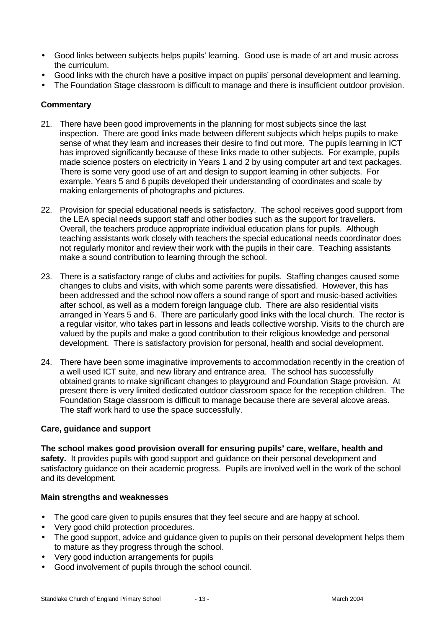- Good links between subjects helps pupils' learning. Good use is made of art and music across the curriculum.
- Good links with the church have a positive impact on pupils' personal development and learning.
- The Foundation Stage classroom is difficult to manage and there is insufficient outdoor provision.

### **Commentary**

- 21. There have been good improvements in the planning for most subjects since the last inspection. There are good links made between different subjects which helps pupils to make sense of what they learn and increases their desire to find out more. The pupils learning in ICT has improved significantly because of these links made to other subjects. For example, pupils made science posters on electricity in Years 1 and 2 by using computer art and text packages. There is some very good use of art and design to support learning in other subjects. For example, Years 5 and 6 pupils developed their understanding of coordinates and scale by making enlargements of photographs and pictures.
- 22. Provision for special educational needs is satisfactory. The school receives good support from the LEA special needs support staff and other bodies such as the support for travellers. Overall, the teachers produce appropriate individual education plans for pupils. Although teaching assistants work closely with teachers the special educational needs coordinator does not regularly monitor and review their work with the pupils in their care. Teaching assistants make a sound contribution to learning through the school.
- 23. There is a satisfactory range of clubs and activities for pupils. Staffing changes caused some changes to clubs and visits, with which some parents were dissatisfied. However, this has been addressed and the school now offers a sound range of sport and music-based activities after school, as well as a modern foreign language club. There are also residential visits arranged in Years 5 and 6. There are particularly good links with the local church. The rector is a regular visitor, who takes part in lessons and leads collective worship. Visits to the church are valued by the pupils and make a good contribution to their religious knowledge and personal development. There is satisfactory provision for personal, health and social development.
- 24. There have been some imaginative improvements to accommodation recently in the creation of a well used ICT suite, and new library and entrance area. The school has successfully obtained grants to make significant changes to playground and Foundation Stage provision. At present there is very limited dedicated outdoor classroom space for the reception children. The Foundation Stage classroom is difficult to manage because there are several alcove areas. The staff work hard to use the space successfully.

# **Care, guidance and support**

**The school makes good provision overall for ensuring pupils' care, welfare, health and safety.** It provides pupils with good support and guidance on their personal development and satisfactory guidance on their academic progress. Pupils are involved well in the work of the school and its development.

# **Main strengths and weaknesses**

- The good care given to pupils ensures that they feel secure and are happy at school.
- Very good child protection procedures.
- The good support, advice and guidance given to pupils on their personal development helps them to mature as they progress through the school.
- Very good induction arrangements for pupils
- Good involvement of pupils through the school council.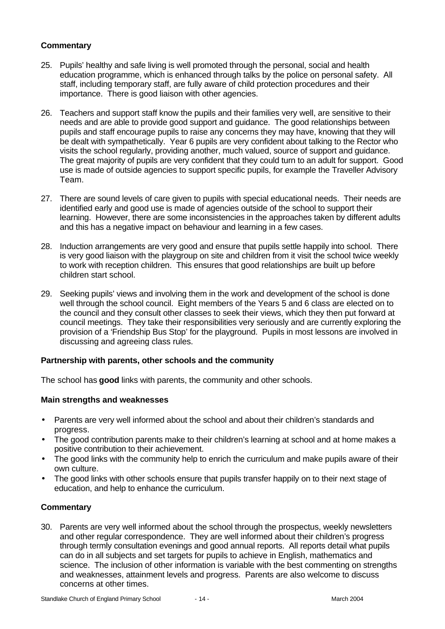# **Commentary**

- 25. Pupils' healthy and safe living is well promoted through the personal, social and health education programme, which is enhanced through talks by the police on personal safety. All staff, including temporary staff, are fully aware of child protection procedures and their importance. There is good liaison with other agencies.
- 26. Teachers and support staff know the pupils and their families very well, are sensitive to their needs and are able to provide good support and guidance. The good relationships between pupils and staff encourage pupils to raise any concerns they may have, knowing that they will be dealt with sympathetically. Year 6 pupils are very confident about talking to the Rector who visits the school regularly, providing another, much valued, source of support and guidance. The great majority of pupils are very confident that they could turn to an adult for support. Good use is made of outside agencies to support specific pupils, for example the Traveller Advisory Team.
- 27. There are sound levels of care given to pupils with special educational needs. Their needs are identified early and good use is made of agencies outside of the school to support their learning. However, there are some inconsistencies in the approaches taken by different adults and this has a negative impact on behaviour and learning in a few cases.
- 28. Induction arrangements are very good and ensure that pupils settle happily into school. There is very good liaison with the playgroup on site and children from it visit the school twice weekly to work with reception children. This ensures that good relationships are built up before children start school.
- 29. Seeking pupils' views and involving them in the work and development of the school is done well through the school council. Eight members of the Years 5 and 6 class are elected on to the council and they consult other classes to seek their views, which they then put forward at council meetings. They take their responsibilities very seriously and are currently exploring the provision of a 'Friendship Bus Stop' for the playground. Pupils in most lessons are involved in discussing and agreeing class rules.

#### **Partnership with parents, other schools and the community**

The school has **good** links with parents, the community and other schools.

#### **Main strengths and weaknesses**

- Parents are very well informed about the school and about their children's standards and progress.
- The good contribution parents make to their children's learning at school and at home makes a positive contribution to their achievement.
- The good links with the community help to enrich the curriculum and make pupils aware of their own culture.
- The good links with other schools ensure that pupils transfer happily on to their next stage of education, and help to enhance the curriculum.

#### **Commentary**

30. Parents are very well informed about the school through the prospectus, weekly newsletters and other regular correspondence. They are well informed about their children's progress through termly consultation evenings and good annual reports. All reports detail what pupils can do in all subjects and set targets for pupils to achieve in English, mathematics and science. The inclusion of other information is variable with the best commenting on strengths and weaknesses, attainment levels and progress. Parents are also welcome to discuss concerns at other times.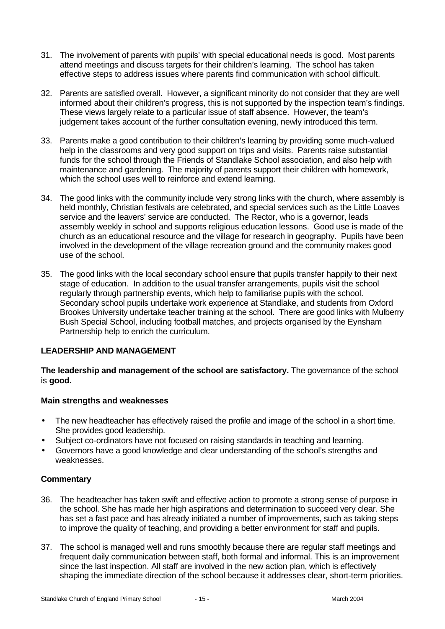- 31. The involvement of parents with pupils' with special educational needs is good. Most parents attend meetings and discuss targets for their children's learning. The school has taken effective steps to address issues where parents find communication with school difficult.
- 32. Parents are satisfied overall. However, a significant minority do not consider that they are well informed about their children's progress, this is not supported by the inspection team's findings. These views largely relate to a particular issue of staff absence. However, the team's judgement takes account of the further consultation evening, newly introduced this term.
- 33. Parents make a good contribution to their children's learning by providing some much-valued help in the classrooms and very good support on trips and visits. Parents raise substantial funds for the school through the Friends of Standlake School association, and also help with maintenance and gardening. The majority of parents support their children with homework, which the school uses well to reinforce and extend learning.
- 34. The good links with the community include very strong links with the church, where assembly is held monthly, Christian festivals are celebrated, and special services such as the Little Loaves service and the leavers' service are conducted. The Rector, who is a governor, leads assembly weekly in school and supports religious education lessons. Good use is made of the church as an educational resource and the village for research in geography. Pupils have been involved in the development of the village recreation ground and the community makes good use of the school.
- 35. The good links with the local secondary school ensure that pupils transfer happily to their next stage of education. In addition to the usual transfer arrangements, pupils visit the school regularly through partnership events, which help to familiarise pupils with the school. Secondary school pupils undertake work experience at Standlake, and students from Oxford Brookes University undertake teacher training at the school. There are good links with Mulberry Bush Special School, including football matches, and projects organised by the Eynsham Partnership help to enrich the curriculum.

# **LEADERSHIP AND MANAGEMENT**

**The leadership and management of the school are satisfactory.** The governance of the school is **good.**

#### **Main strengths and weaknesses**

- The new headteacher has effectively raised the profile and image of the school in a short time. She provides good leadership.
- Subject co-ordinators have not focused on raising standards in teaching and learning.
- Governors have a good knowledge and clear understanding of the school's strengths and weaknesses.

#### **Commentary**

- 36. The headteacher has taken swift and effective action to promote a strong sense of purpose in the school. She has made her high aspirations and determination to succeed very clear. She has set a fast pace and has already initiated a number of improvements, such as taking steps to improve the quality of teaching, and providing a better environment for staff and pupils.
- 37. The school is managed well and runs smoothly because there are regular staff meetings and frequent daily communication between staff, both formal and informal. This is an improvement since the last inspection. All staff are involved in the new action plan, which is effectively shaping the immediate direction of the school because it addresses clear, short-term priorities.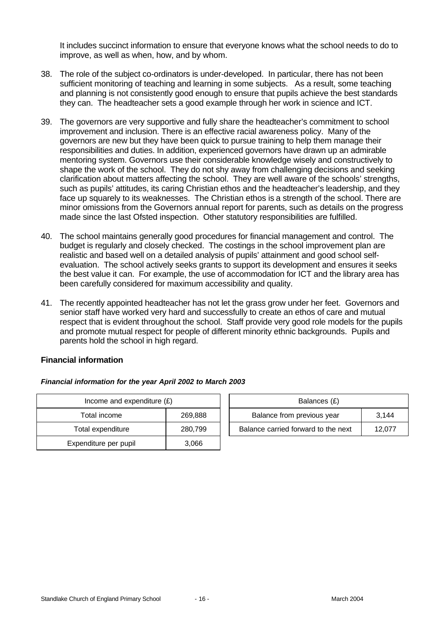It includes succinct information to ensure that everyone knows what the school needs to do to improve, as well as when, how, and by whom.

- 38. The role of the subject co-ordinators is under-developed. In particular, there has not been sufficient monitoring of teaching and learning in some subjects. As a result, some teaching and planning is not consistently good enough to ensure that pupils achieve the best standards they can. The headteacher sets a good example through her work in science and ICT.
- 39. The governors are very supportive and fully share the headteacher's commitment to school improvement and inclusion. There is an effective racial awareness policy. Many of the governors are new but they have been quick to pursue training to help them manage their responsibilities and duties. In addition, experienced governors have drawn up an admirable mentoring system. Governors use their considerable knowledge wisely and constructively to shape the work of the school. They do not shy away from challenging decisions and seeking clarification about matters affecting the school. They are well aware of the schools' strengths, such as pupils' attitudes, its caring Christian ethos and the headteacher's leadership, and they face up squarely to its weaknesses. The Christian ethos is a strength of the school. There are minor omissions from the Governors annual report for parents, such as details on the progress made since the last Ofsted inspection. Other statutory responsibilities are fulfilled.
- 40. The school maintains generally good procedures for financial management and control. The budget is regularly and closely checked. The costings in the school improvement plan are realistic and based well on a detailed analysis of pupils' attainment and good school selfevaluation. The school actively seeks grants to support its development and ensures it seeks the best value it can. For example, the use of accommodation for ICT and the library area has been carefully considered for maximum accessibility and quality.
- 41. The recently appointed headteacher has not let the grass grow under her feet. Governors and senior staff have worked very hard and successfully to create an ethos of care and mutual respect that is evident throughout the school. Staff provide very good role models for the pupils and promote mutual respect for people of different minority ethnic backgrounds. Pupils and parents hold the school in high regard.

### **Financial information**

| Income and expenditure $(E)$ |         |  | Balances (£)                     |
|------------------------------|---------|--|----------------------------------|
| Total income                 | 269,888 |  | Balance from previous year       |
| Total expenditure            | 280,799 |  | Balance carried forward to the i |
| Expenditure per pupil        | 3,066   |  |                                  |

|  |  |  |  | Financial information for the year April 2002 to March 2003 |
|--|--|--|--|-------------------------------------------------------------|
|--|--|--|--|-------------------------------------------------------------|

| Income and expenditure $(E)$ |         |  | Balances (£)                        |        |  |  |
|------------------------------|---------|--|-------------------------------------|--------|--|--|
| Total income                 | 269.888 |  | Balance from previous year          | 3.144  |  |  |
| Total expenditure            | 280.799 |  | Balance carried forward to the next | 12.077 |  |  |
|                              |         |  |                                     |        |  |  |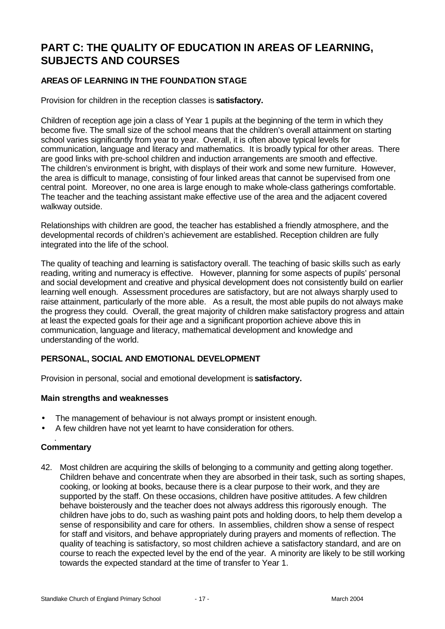# **PART C: THE QUALITY OF EDUCATION IN AREAS OF LEARNING, SUBJECTS AND COURSES**

# **AREAS OF LEARNING IN THE FOUNDATION STAGE**

Provision for children in the reception classes is **satisfactory.**

Children of reception age join a class of Year 1 pupils at the beginning of the term in which they become five. The small size of the school means that the children's overall attainment on starting school varies significantly from year to year. Overall, it is often above typical levels for communication, language and literacy and mathematics. It is broadly typical for other areas. There are good links with pre-school children and induction arrangements are smooth and effective. The children's environment is bright, with displays of their work and some new furniture. However, the area is difficult to manage, consisting of four linked areas that cannot be supervised from one central point. Moreover, no one area is large enough to make whole-class gatherings comfortable. The teacher and the teaching assistant make effective use of the area and the adjacent covered walkway outside.

Relationships with children are good, the teacher has established a friendly atmosphere, and the developmental records of children's achievement are established. Reception children are fully integrated into the life of the school.

The quality of teaching and learning is satisfactory overall. The teaching of basic skills such as early reading, writing and numeracy is effective. However, planning for some aspects of pupils' personal and social development and creative and physical development does not consistently build on earlier learning well enough. Assessment procedures are satisfactory, but are not always sharply used to raise attainment, particularly of the more able. As a result, the most able pupils do not always make the progress they could. Overall, the great majority of children make satisfactory progress and attain at least the expected goals for their age and a significant proportion achieve above this in communication, language and literacy, mathematical development and knowledge and understanding of the world.

# **PERSONAL, SOCIAL AND EMOTIONAL DEVELOPMENT**

Provision in personal, social and emotional development is **satisfactory.**

#### **Main strengths and weaknesses**

- The management of behaviour is not always prompt or insistent enough.
- A few children have not yet learnt to have consideration for others.

#### . **Commentary**

42. Most children are acquiring the skills of belonging to a community and getting along together. Children behave and concentrate when they are absorbed in their task, such as sorting shapes, cooking, or looking at books, because there is a clear purpose to their work, and they are supported by the staff. On these occasions, children have positive attitudes. A few children behave boisterously and the teacher does not always address this rigorously enough. The children have jobs to do, such as washing paint pots and holding doors, to help them develop a sense of responsibility and care for others. In assemblies, children show a sense of respect for staff and visitors, and behave appropriately during prayers and moments of reflection. The quality of teaching is satisfactory, so most children achieve a satisfactory standard, and are on course to reach the expected level by the end of the year. A minority are likely to be still working towards the expected standard at the time of transfer to Year 1.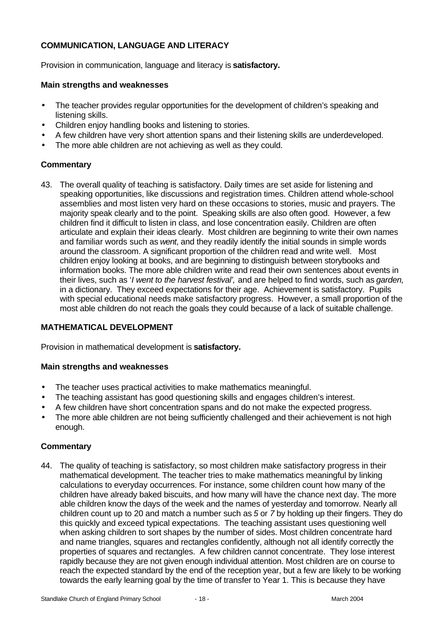# **COMMUNICATION, LANGUAGE AND LITERACY**

Provision in communication, language and literacy is **satisfactory.**

#### **Main strengths and weaknesses**

- The teacher provides regular opportunities for the development of children's speaking and listening skills.
- Children enjoy handling books and listening to stories.
- A few children have very short attention spans and their listening skills are underdeveloped.
- The more able children are not achieving as well as they could.

### **Commentary**

43. The overall quality of teaching is satisfactory. Daily times are set aside for listening and speaking opportunities, like discussions and registration times. Children attend whole-school assemblies and most listen very hard on these occasions to stories, music and prayers. The majority speak clearly and to the point. Speaking skills are also often good. However, a few children find it difficult to listen in class, and lose concentration easily. Children are often articulate and explain their ideas clearly. Most children are beginning to write their own names and familiar words such as *went*, and they readily identify the initial sounds in simple words around the classroom. A significant proportion of the children read and write well. Most children enjoy looking at books, and are beginning to distinguish between storybooks and information books. The more able children write and read their own sentences about events in their lives, such as '*I went to the harvest festival',* and are helped to find words, such as *garden,* in a dictionary. They exceed expectations for their age. Achievement is satisfactory. Pupils with special educational needs make satisfactory progress. However, a small proportion of the most able children do not reach the goals they could because of a lack of suitable challenge.

#### **MATHEMATICAL DEVELOPMENT**

Provision in mathematical development is **satisfactory.**

#### **Main strengths and weaknesses**

- The teacher uses practical activities to make mathematics meaningful.
- The teaching assistant has good questioning skills and engages children's interest.
- A few children have short concentration spans and do not make the expected progress.
- The more able children are not being sufficiently challenged and their achievement is not high enough.

#### **Commentary**

44. The quality of teaching is satisfactory, so most children make satisfactory progress in their mathematical development. The teacher tries to make mathematics meaningful by linking calculations to everyday occurrences. For instance, some children count how many of the children have already baked biscuits, and how many will have the chance next day. The more able children know the days of the week and the names of yesterday and tomorrow. Nearly all children count up to 20 and match a number such as *5* or *7* by holding up their fingers. They do this quickly and exceed typical expectations. The teaching assistant uses questioning well when asking children to sort shapes by the number of sides. Most children concentrate hard and name triangles, squares and rectangles confidently, although not all identify correctly the properties of squares and rectangles. A few children cannot concentrate. They lose interest rapidly because they are not given enough individual attention. Most children are on course to reach the expected standard by the end of the reception year, but a few are likely to be working towards the early learning goal by the time of transfer to Year 1. This is because they have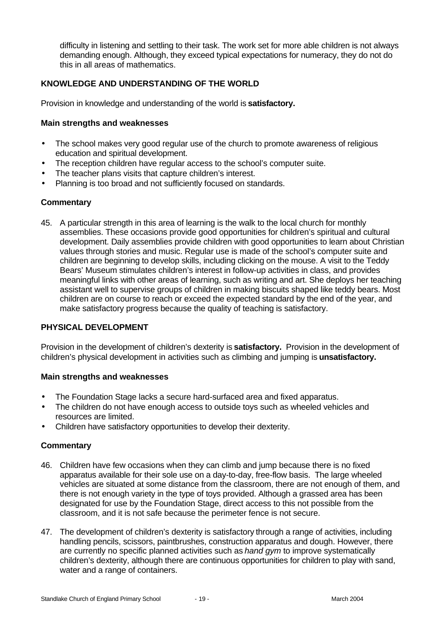difficulty in listening and settling to their task. The work set for more able children is not always demanding enough. Although, they exceed typical expectations for numeracy, they do not do this in all areas of mathematics.

# **KNOWLEDGE AND UNDERSTANDING OF THE WORLD**

Provision in knowledge and understanding of the world is **satisfactory.**

#### **Main strengths and weaknesses**

- The school makes very good regular use of the church to promote awareness of religious education and spiritual development.
- The reception children have regular access to the school's computer suite.
- The teacher plans visits that capture children's interest.
- Planning is too broad and not sufficiently focused on standards.

#### **Commentary**

45. A particular strength in this area of learning is the walk to the local church for monthly assemblies. These occasions provide good opportunities for children's spiritual and cultural development. Daily assemblies provide children with good opportunities to learn about Christian values through stories and music. Regular use is made of the school's computer suite and children are beginning to develop skills, including clicking on the mouse. A visit to the Teddy Bears' Museum stimulates children's interest in follow-up activities in class, and provides meaningful links with other areas of learning, such as writing and art. She deploys her teaching assistant well to supervise groups of children in making biscuits shaped like teddy bears. Most children are on course to reach or exceed the expected standard by the end of the year, and make satisfactory progress because the quality of teaching is satisfactory.

#### **PHYSICAL DEVELOPMENT**

Provision in the development of children's dexterity is **satisfactory.** Provision in the development of children's physical development in activities such as climbing and jumping is **unsatisfactory.**

#### **Main strengths and weaknesses**

- The Foundation Stage lacks a secure hard-surfaced area and fixed apparatus.
- The children do not have enough access to outside toys such as wheeled vehicles and resources are limited.
- Children have satisfactory opportunities to develop their dexterity.

#### **Commentary**

- 46. Children have few occasions when they can climb and jump because there is no fixed apparatus available for their sole use on a day-to-day, free-flow basis. The large wheeled vehicles are situated at some distance from the classroom, there are not enough of them, and there is not enough variety in the type of toys provided. Although a grassed area has been designated for use by the Foundation Stage, direct access to this not possible from the classroom, and it is not safe because the perimeter fence is not secure.
- 47. The development of children's dexterity is satisfactory through a range of activities, including handling pencils, scissors, paintbrushes, construction apparatus and dough. However, there are currently no specific planned activities such as *hand gym* to improve systematically children's dexterity, although there are continuous opportunities for children to play with sand, water and a range of containers.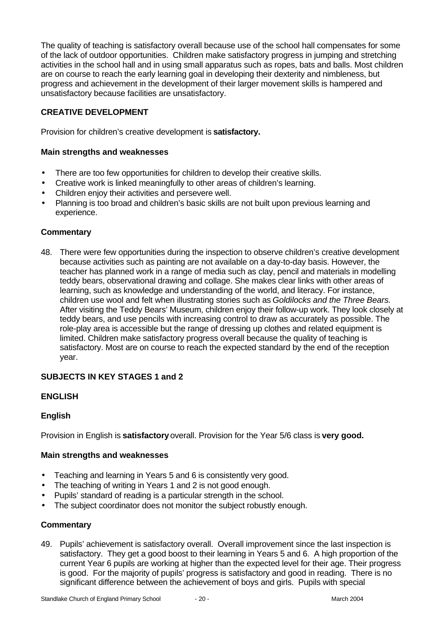The quality of teaching is satisfactory overall because use of the school hall compensates for some of the lack of outdoor opportunities. Children make satisfactory progress in jumping and stretching activities in the school hall and in using small apparatus such as ropes, bats and balls. Most children are on course to reach the early learning goal in developing their dexterity and nimbleness, but progress and achievement in the development of their larger movement skills is hampered and unsatisfactory because facilities are unsatisfactory.

# **CREATIVE DEVELOPMENT**

Provision for children's creative development is **satisfactory.**

### **Main strengths and weaknesses**

- There are too few opportunities for children to develop their creative skills.
- Creative work is linked meaningfully to other areas of children's learning.
- Children enjoy their activities and persevere well.
- Planning is too broad and children's basic skills are not built upon previous learning and experience.

### **Commentary**

48. There were few opportunities during the inspection to observe children's creative development because activities such as painting are not available on a day-to-day basis. However, the teacher has planned work in a range of media such as clay, pencil and materials in modelling teddy bears, observational drawing and collage. She makes clear links with other areas of learning, such as knowledge and understanding of the world, and literacy. For instance, children use wool and felt when illustrating stories such as *Goldilocks and the Three Bears.* After visiting the Teddy Bears' Museum, children enjoy their follow-up work. They look closely at teddy bears, and use pencils with increasing control to draw as accurately as possible. The role-play area is accessible but the range of dressing up clothes and related equipment is limited. Children make satisfactory progress overall because the quality of teaching is satisfactory. Most are on course to reach the expected standard by the end of the reception year.

# **SUBJECTS IN KEY STAGES 1 and 2**

# **ENGLISH**

#### **English**

Provision in English is **satisfactory** overall. Provision for the Year 5/6 class is **very good.**

#### **Main strengths and weaknesses**

- Teaching and learning in Years 5 and 6 is consistently very good.
- The teaching of writing in Years 1 and 2 is not good enough.
- Pupils' standard of reading is a particular strength in the school.
- The subject coordinator does not monitor the subject robustly enough.

#### **Commentary**

49. Pupils' achievement is satisfactory overall. Overall improvement since the last inspection is satisfactory. They get a good boost to their learning in Years 5 and 6. A high proportion of the current Year 6 pupils are working at higher than the expected level for their age. Their progress is good. For the majority of pupils' progress is satisfactory and good in reading. There is no significant difference between the achievement of boys and girls. Pupils with special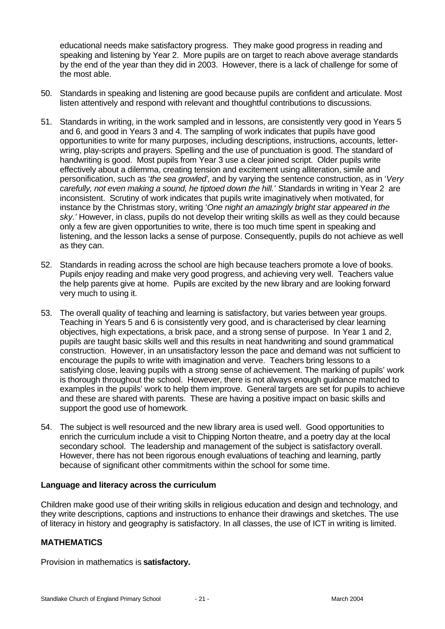educational needs make satisfactory progress. They make good progress in reading and speaking and listening by Year 2. More pupils are on target to reach above average standards by the end of the year than they did in 2003. However, there is a lack of challenge for some of the most able.

- 50. Standards in speaking and listening are good because pupils are confident and articulate. Most listen attentively and respond with relevant and thoughtful contributions to discussions.
- 51. Standards in writing, in the work sampled and in lessons, are consistently very good in Years 5 and 6, and good in Years 3 and 4. The sampling of work indicates that pupils have good opportunities to write for many purposes, including descriptions, instructions, accounts, letterwring, play-scripts and prayers. Spelling and the use of punctuation is good. The standard of handwriting is good. Most pupils from Year 3 use a clear joined script. Older pupils write effectively about a dilemma, creating tension and excitement using alliteration, simile and personification, such as '*the sea growled',* and by varying the sentence construction, as in '*Very carefully, not even making a sound, he tiptoed down the hill.'* Standards in writing in Year 2 are inconsistent. Scrutiny of work indicates that pupils write imaginatively when motivated, for instance by the Christmas story, writing '*One night an amazingly bright star appeared in the* sky.' However, in class, pupils do not develop their writing skills as well as they could because only a few are given opportunities to write, there is too much time spent in speaking and listening, and the lesson lacks a sense of purpose. Consequently, pupils do not achieve as well as they can.
- 52. Standards in reading across the school are high because teachers promote a love of books. Pupils enjoy reading and make very good progress, and achieving very well. Teachers value the help parents give at home. Pupils are excited by the new library and are looking forward very much to using it.
- 53. The overall quality of teaching and learning is satisfactory, but varies between year groups. Teaching in Years 5 and 6 is consistently very good, and is characterised by clear learning objectives, high expectations, a brisk pace, and a strong sense of purpose. In Year 1 and 2, pupils are taught basic skills well and this results in neat handwriting and sound grammatical construction. However, in an unsatisfactory lesson the pace and demand was not sufficient to encourage the pupils to write with imagination and verve. Teachers bring lessons to a satisfying close, leaving pupils with a strong sense of achievement. The marking of pupils' work is thorough throughout the school. However, there is not always enough guidance matched to examples in the pupils' work to help them improve. General targets are set for pupils to achieve and these are shared with parents. These are having a positive impact on basic skills and support the good use of homework.
- 54. The subject is well resourced and the new library area is used well. Good opportunities to enrich the curriculum include a visit to Chipping Norton theatre, and a poetry day at the local secondary school. The leadership and management of the subject is satisfactory overall. However, there has not been rigorous enough evaluations of teaching and learning, partly because of significant other commitments within the school for some time.

#### **Language and literacy across the curriculum**

Children make good use of their writing skills in religious education and design and technology, and they write descriptions, captions and instructions to enhance their drawings and sketches. The use of literacy in history and geography is satisfactory. In all classes, the use of ICT in writing is limited.

# **MATHEMATICS**

Provision in mathematics is **satisfactory.**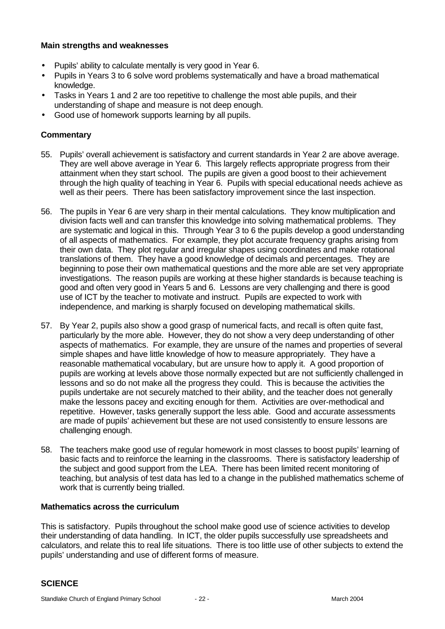#### **Main strengths and weaknesses**

- Pupils' ability to calculate mentally is very good in Year 6.
- Pupils in Years 3 to 6 solve word problems systematically and have a broad mathematical knowledge.
- Tasks in Years 1 and 2 are too repetitive to challenge the most able pupils, and their understanding of shape and measure is not deep enough.
- Good use of homework supports learning by all pupils.

#### **Commentary**

- 55. Pupils' overall achievement is satisfactory and current standards in Year 2 are above average. They are well above average in Year 6. This largely reflects appropriate progress from their attainment when they start school. The pupils are given a good boost to their achievement through the high quality of teaching in Year 6. Pupils with special educational needs achieve as well as their peers. There has been satisfactory improvement since the last inspection.
- 56. The pupils in Year 6 are very sharp in their mental calculations. They know multiplication and division facts well and can transfer this knowledge into solving mathematical problems. They are systematic and logical in this. Through Year 3 to 6 the pupils develop a good understanding of all aspects of mathematics. For example, they plot accurate frequency graphs arising from their own data. They plot regular and irregular shapes using coordinates and make rotational translations of them. They have a good knowledge of decimals and percentages. They are beginning to pose their own mathematical questions and the more able are set very appropriate investigations. The reason pupils are working at these higher standards is because teaching is good and often very good in Years 5 and 6. Lessons are very challenging and there is good use of ICT by the teacher to motivate and instruct. Pupils are expected to work with independence, and marking is sharply focused on developing mathematical skills.
- 57. By Year 2, pupils also show a good grasp of numerical facts, and recall is often quite fast, particularly by the more able. However, they do not show a very deep understanding of other aspects of mathematics. For example, they are unsure of the names and properties of several simple shapes and have little knowledge of how to measure appropriately. They have a reasonable mathematical vocabulary, but are unsure how to apply it. A good proportion of pupils are working at levels above those normally expected but are not sufficiently challenged in lessons and so do not make all the progress they could. This is because the activities the pupils undertake are not securely matched to their ability, and the teacher does not generally make the lessons pacey and exciting enough for them. Activities are over-methodical and repetitive. However, tasks generally support the less able. Good and accurate assessments are made of pupils' achievement but these are not used consistently to ensure lessons are challenging enough.
- 58. The teachers make good use of regular homework in most classes to boost pupils' learning of basic facts and to reinforce the learning in the classrooms. There is satisfactory leadership of the subject and good support from the LEA. There has been limited recent monitoring of teaching, but analysis of test data has led to a change in the published mathematics scheme of work that is currently being trialled.

#### **Mathematics across the curriculum**

This is satisfactory. Pupils throughout the school make good use of science activities to develop their understanding of data handling. In ICT, the older pupils successfully use spreadsheets and calculators, and relate this to real life situations. There is too little use of other subjects to extend the pupils' understanding and use of different forms of measure.

#### **SCIENCE**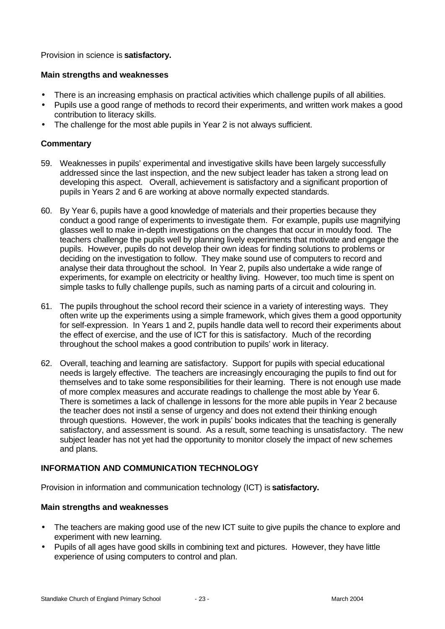Provision in science is **satisfactory.**

### **Main strengths and weaknesses**

- There is an increasing emphasis on practical activities which challenge pupils of all abilities.
- Pupils use a good range of methods to record their experiments, and written work makes a good contribution to literacy skills.
- The challenge for the most able pupils in Year 2 is not always sufficient.

### **Commentary**

- 59. Weaknesses in pupils' experimental and investigative skills have been largely successfully addressed since the last inspection, and the new subject leader has taken a strong lead on developing this aspect.Overall, achievement is satisfactory and a significant proportion of pupils in Years 2 and 6 are working at above normally expected standards.
- 60. By Year 6, pupils have a good knowledge of materials and their properties because they conduct a good range of experiments to investigate them. For example, pupils use magnifying glasses well to make in-depth investigations on the changes that occur in mouldy food. The teachers challenge the pupils well by planning lively experiments that motivate and engage the pupils. However, pupils do not develop their own ideas for finding solutions to problems or deciding on the investigation to follow. They make sound use of computers to record and analyse their data throughout the school. In Year 2, pupils also undertake a wide range of experiments, for example on electricity or healthy living. However, too much time is spent on simple tasks to fully challenge pupils, such as naming parts of a circuit and colouring in.
- 61. The pupils throughout the school record their science in a variety of interesting ways. They often write up the experiments using a simple framework, which gives them a good opportunity for self-expression. In Years 1 and 2, pupils handle data well to record their experiments about the effect of exercise, and the use of ICT for this is satisfactory. Much of the recording throughout the school makes a good contribution to pupils' work in literacy.
- 62. Overall, teaching and learning are satisfactory. Support for pupils with special educational needs is largely effective. The teachers are increasingly encouraging the pupils to find out for themselves and to take some responsibilities for their learning. There is not enough use made of more complex measures and accurate readings to challenge the most able by Year 6. There is sometimes a lack of challenge in lessons for the more able pupils in Year 2 because the teacher does not instil a sense of urgency and does not extend their thinking enough through questions. However, the work in pupils' books indicates that the teaching is generally satisfactory, and assessment is sound. As a result, some teaching is unsatisfactory. The new subject leader has not yet had the opportunity to monitor closely the impact of new schemes and plans.

# **INFORMATION AND COMMUNICATION TECHNOLOGY**

Provision in information and communication technology (ICT) is **satisfactory.**

#### **Main strengths and weaknesses**

- The teachers are making good use of the new ICT suite to give pupils the chance to explore and experiment with new learning.
- Pupils of all ages have good skills in combining text and pictures. However, they have little experience of using computers to control and plan.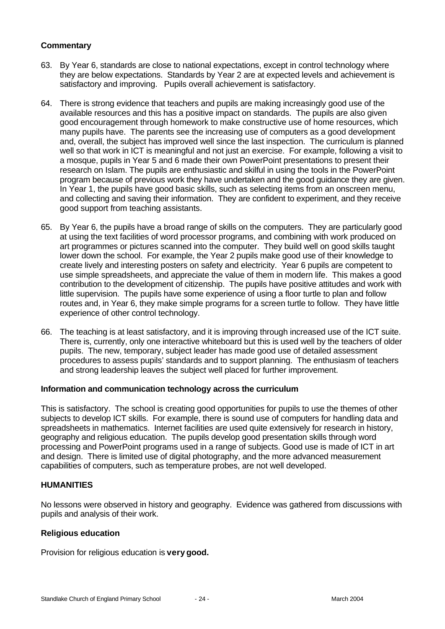### **Commentary**

- 63. By Year 6, standards are close to national expectations, except in control technology where they are below expectations. Standards by Year 2 are at expected levels and achievement is satisfactory and improving. Pupils overall achievement is satisfactory.
- 64. There is strong evidence that teachers and pupils are making increasingly good use of the available resources and this has a positive impact on standards. The pupils are also given good encouragement through homework to make constructive use of home resources, which many pupils have. The parents see the increasing use of computers as a good development and, overall, the subject has improved well since the last inspection. The curriculum is planned well so that work in ICT is meaningful and not just an exercise. For example, following a visit to a mosque, pupils in Year 5 and 6 made their own PowerPoint presentations to present their research on Islam. The pupils are enthusiastic and skilful in using the tools in the PowerPoint program because of previous work they have undertaken and the good guidance they are given. In Year 1, the pupils have good basic skills, such as selecting items from an onscreen menu, and collecting and saving their information. They are confident to experiment, and they receive good support from teaching assistants.
- 65. By Year 6, the pupils have a broad range of skills on the computers. They are particularly good at using the text facilities of word processor programs, and combining with work produced on art programmes or pictures scanned into the computer. They build well on good skills taught lower down the school. For example, the Year 2 pupils make good use of their knowledge to create lively and interesting posters on safety and electricity. Year 6 pupils are competent to use simple spreadsheets, and appreciate the value of them in modern life. This makes a good contribution to the development of citizenship. The pupils have positive attitudes and work with little supervision. The pupils have some experience of using a floor turtle to plan and follow routes and, in Year 6, they make simple programs for a screen turtle to follow. They have little experience of other control technology.
- 66. The teaching is at least satisfactory, and it is improving through increased use of the ICT suite. There is, currently, only one interactive whiteboard but this is used well by the teachers of older pupils. The new, temporary, subject leader has made good use of detailed assessment procedures to assess pupils' standards and to support planning. The enthusiasm of teachers and strong leadership leaves the subject well placed for further improvement.

#### **Information and communication technology across the curriculum**

This is satisfactory. The school is creating good opportunities for pupils to use the themes of other subjects to develop ICT skills. For example, there is sound use of computers for handling data and spreadsheets in mathematics. Internet facilities are used quite extensively for research in history, geography and religious education. The pupils develop good presentation skills through word processing and PowerPoint programs used in a range of subjects. Good use is made of ICT in art and design. There is limited use of digital photography, and the more advanced measurement capabilities of computers, such as temperature probes, are not well developed.

#### **HUMANITIES**

No lessons were observed in history and geography. Evidence was gathered from discussions with pupils and analysis of their work.

#### **Religious education**

Provision for religious education is **very good.**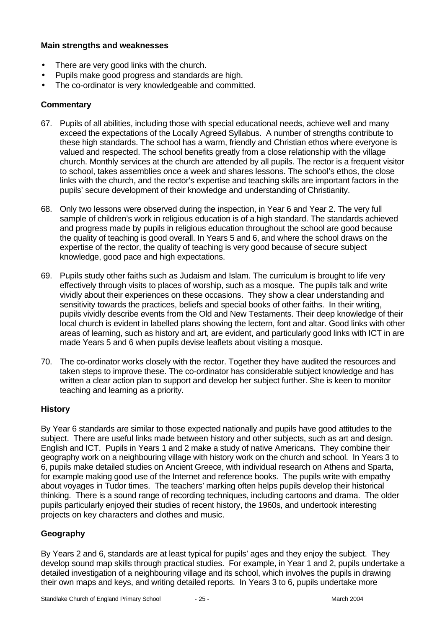#### **Main strengths and weaknesses**

- There are very good links with the church.
- Pupils make good progress and standards are high.
- The co-ordinator is very knowledgeable and committed.

#### **Commentary**

- 67. Pupils of all abilities, including those with special educational needs, achieve well and many exceed the expectations of the Locally Agreed Syllabus. A number of strengths contribute to these high standards. The school has a warm, friendly and Christian ethos where everyone is valued and respected. The school benefits greatly from a close relationship with the village church. Monthly services at the church are attended by all pupils. The rector is a frequent visitor to school, takes assemblies once a week and shares lessons. The school's ethos, the close links with the church, and the rector's expertise and teaching skills are important factors in the pupils' secure development of their knowledge and understanding of Christianity.
- 68. Only two lessons were observed during the inspection, in Year 6 and Year 2. The very full sample of children's work in religious education is of a high standard. The standards achieved and progress made by pupils in religious education throughout the school are good because the quality of teaching is good overall. In Years 5 and 6, and where the school draws on the expertise of the rector, the quality of teaching is very good because of secure subject knowledge, good pace and high expectations.
- 69. Pupils study other faiths such as Judaism and Islam. The curriculum is brought to life very effectively through visits to places of worship, such as a mosque. The pupils talk and write vividly about their experiences on these occasions. They show a clear understanding and sensitivity towards the practices, beliefs and special books of other faiths. In their writing, pupils vividly describe events from the Old and New Testaments. Their deep knowledge of their local church is evident in labelled plans showing the lectern, font and altar. Good links with other areas of learning, such as history and art, are evident, and particularly good links with ICT in are made Years 5 and 6 when pupils devise leaflets about visiting a mosque.
- 70. The co-ordinator works closely with the rector. Together they have audited the resources and taken steps to improve these. The co-ordinator has considerable subject knowledge and has written a clear action plan to support and develop her subject further. She is keen to monitor teaching and learning as a priority.

# **History**

By Year 6 standards are similar to those expected nationally and pupils have good attitudes to the subject. There are useful links made between history and other subjects, such as art and design. English and ICT. Pupils in Years 1 and 2 make a study of native Americans. They combine their geography work on a neighbouring village with history work on the church and school. In Years 3 to 6, pupils make detailed studies on Ancient Greece, with individual research on Athens and Sparta, for example making good use of the Internet and reference books. The pupils write with empathy about voyages in Tudor times. The teachers' marking often helps pupils develop their historical thinking. There is a sound range of recording techniques, including cartoons and drama. The older pupils particularly enjoyed their studies of recent history, the 1960s, and undertook interesting projects on key characters and clothes and music.

# **Geography**

By Years 2 and 6, standards are at least typical for pupils' ages and they enjoy the subject. They develop sound map skills through practical studies. For example, in Year 1 and 2, pupils undertake a detailed investigation of a neighbouring village and its school, which involves the pupils in drawing their own maps and keys, and writing detailed reports. In Years 3 to 6, pupils undertake more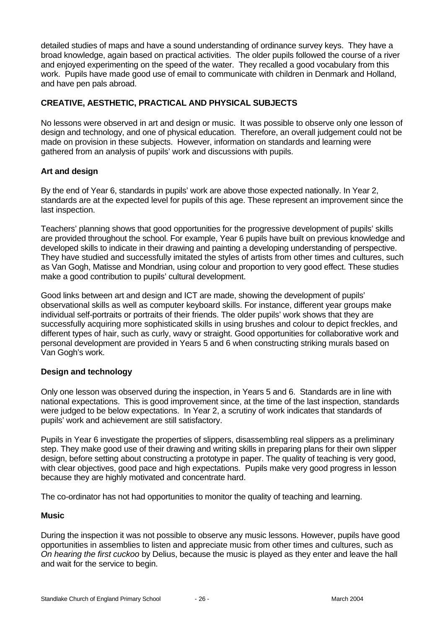detailed studies of maps and have a sound understanding of ordinance survey keys. They have a broad knowledge, again based on practical activities. The older pupils followed the course of a river and enjoyed experimenting on the speed of the water. They recalled a good vocabulary from this work. Pupils have made good use of email to communicate with children in Denmark and Holland, and have pen pals abroad.

# **CREATIVE, AESTHETIC, PRACTICAL AND PHYSICAL SUBJECTS**

No lessons were observed in art and design or music. It was possible to observe only one lesson of design and technology, and one of physical education. Therefore, an overall judgement could not be made on provision in these subjects. However, information on standards and learning were gathered from an analysis of pupils' work and discussions with pupils.

#### **Art and design**

By the end of Year 6, standards in pupils' work are above those expected nationally. In Year 2, standards are at the expected level for pupils of this age. These represent an improvement since the last inspection.

Teachers' planning shows that good opportunities for the progressive development of pupils' skills are provided throughout the school. For example, Year 6 pupils have built on previous knowledge and developed skills to indicate in their drawing and painting a developing understanding of perspective. They have studied and successfully imitated the styles of artists from other times and cultures, such as Van Gogh, Matisse and Mondrian, using colour and proportion to very good effect. These studies make a good contribution to pupils' cultural development.

Good links between art and design and ICT are made, showing the development of pupils' observational skills as well as computer keyboard skills. For instance, different year groups make individual self-portraits or portraits of their friends. The older pupils' work shows that they are successfully acquiring more sophisticated skills in using brushes and colour to depict freckles, and different types of hair, such as curly, wavy or straight. Good opportunities for collaborative work and personal development are provided in Years 5 and 6 when constructing striking murals based on Van Gogh's work.

#### **Design and technology**

Only one lesson was observed during the inspection, in Years 5 and 6. Standards are in line with national expectations. This is good improvement since, at the time of the last inspection, standards were judged to be below expectations. In Year 2, a scrutiny of work indicates that standards of pupils' work and achievement are still satisfactory.

Pupils in Year 6 investigate the properties of slippers, disassembling real slippers as a preliminary step. They make good use of their drawing and writing skills in preparing plans for their own slipper design, before setting about constructing a prototype in paper. The quality of teaching is very good, with clear objectives, good pace and high expectations. Pupils make very good progress in lesson because they are highly motivated and concentrate hard.

The co-ordinator has not had opportunities to monitor the quality of teaching and learning.

#### **Music**

During the inspection it was not possible to observe any music lessons. However, pupils have good opportunities in assemblies to listen and appreciate music from other times and cultures, such as *On hearing the first cuckoo* by Delius, because the music is played as they enter and leave the hall and wait for the service to begin.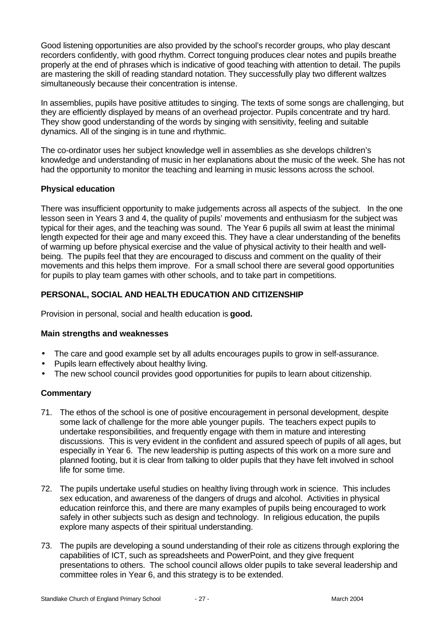Good listening opportunities are also provided by the school's recorder groups, who play descant recorders confidently, with good rhythm. Correct tonguing produces clear notes and pupils breathe properly at the end of phrases which is indicative of good teaching with attention to detail. The pupils are mastering the skill of reading standard notation. They successfully play two different waltzes simultaneously because their concentration is intense.

In assemblies, pupils have positive attitudes to singing. The texts of some songs are challenging, but they are efficiently displayed by means of an overhead projector. Pupils concentrate and try hard. They show good understanding of the words by singing with sensitivity, feeling and suitable dynamics. All of the singing is in tune and rhythmic.

The co-ordinator uses her subject knowledge well in assemblies as she develops children's knowledge and understanding of music in her explanations about the music of the week. She has not had the opportunity to monitor the teaching and learning in music lessons across the school.

### **Physical education**

There was insufficient opportunity to make judgements across all aspects of the subject. In the one lesson seen in Years 3 and 4, the quality of pupils' movements and enthusiasm for the subject was typical for their ages, and the teaching was sound. The Year 6 pupils all swim at least the minimal length expected for their age and many exceed this. They have a clear understanding of the benefits of warming up before physical exercise and the value of physical activity to their health and wellbeing. The pupils feel that they are encouraged to discuss and comment on the quality of their movements and this helps them improve. For a small school there are several good opportunities for pupils to play team games with other schools, and to take part in competitions.

# **PERSONAL, SOCIAL AND HEALTH EDUCATION AND CITIZENSHIP**

Provision in personal, social and health education is **good.**

#### **Main strengths and weaknesses**

- The care and good example set by all adults encourages pupils to grow in self-assurance.
- Pupils learn effectively about healthy living.
- The new school council provides good opportunities for pupils to learn about citizenship.

#### **Commentary**

- 71. The ethos of the school is one of positive encouragement in personal development, despite some lack of challenge for the more able younger pupils. The teachers expect pupils to undertake responsibilities, and frequently engage with them in mature and interesting discussions. This is very evident in the confident and assured speech of pupils of all ages, but especially in Year 6. The new leadership is putting aspects of this work on a more sure and planned footing, but it is clear from talking to older pupils that they have felt involved in school life for some time.
- 72. The pupils undertake useful studies on healthy living through work in science. This includes sex education, and awareness of the dangers of drugs and alcohol. Activities in physical education reinforce this, and there are many examples of pupils being encouraged to work safely in other subjects such as design and technology. In religious education, the pupils explore many aspects of their spiritual understanding.
- 73. The pupils are developing a sound understanding of their role as citizens through exploring the capabilities of ICT, such as spreadsheets and PowerPoint, and they give frequent presentations to others. The school council allows older pupils to take several leadership and committee roles in Year 6, and this strategy is to be extended.